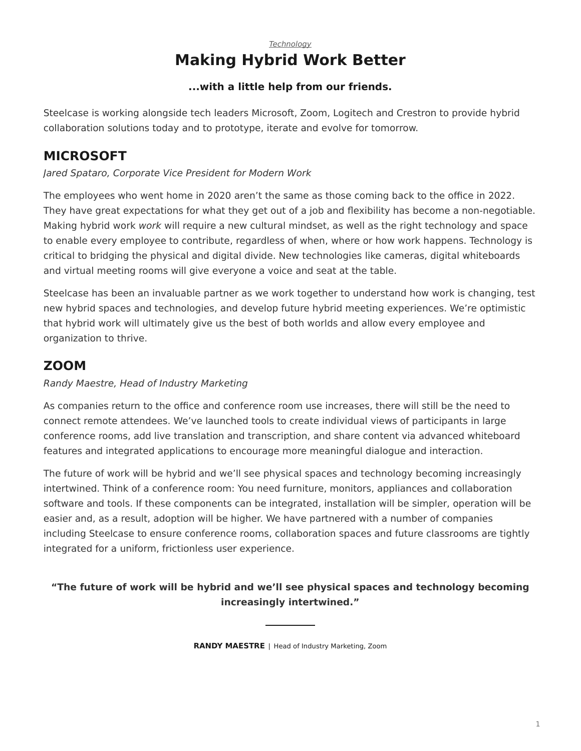### *[Technology](https://www.steelcase.com/research/topics/technology/)* **Making Hybrid Work Better**

### **...with a little help from our friends.**

<span id="page-0-0"></span>Steelcase is working alongside tech leaders Microsoft, Zoom, Logitech and Crestron to provide hybrid collaboration solutions today and to prototype, iterate and evolve for tomorrow.

# **MICROSOFT**

*Jared Spataro, Corporate Vice President for Modern Work*

The employees who went home in 2020 aren't the same as those coming back to the office in 2022. They have great expectations for what they get out of a job and flexibility has become a non-negotiable. Making hybrid work *work* will require a new cultural mindset, as well as the right technology and space to enable every employee to contribute, regardless of when, where or how work happens. Technology is critical to bridging the physical and digital divide. New technologies like cameras, digital whiteboards and virtual meeting rooms will give everyone a voice and seat at the table.

Steelcase has been an invaluable partner as we work together to understand how work is changing, test new hybrid spaces and technologies, and develop future hybrid meeting experiences. We're optimistic that hybrid work will ultimately give us the best of both worlds and allow every employee and organization to thrive.

## **ZOOM**

#### *Randy Maestre, Head of Industry Marketing*

As companies return to the office and conference room use increases, there will still be the need to connect remote attendees. We've launched tools to create individual views of participants in large conference rooms, add live translation and transcription, and share content via advanced whiteboard features and integrated applications to encourage more meaningful dialogue and interaction.

The future of work will be hybrid and we'll see physical spaces and technology becoming increasingly intertwined. Think of a conference room: You need furniture, monitors, appliances and collaboration software and tools. If these components can be integrated, installation will be simpler, operation will be easier and, as a result, adoption will be higher. We have partnered with a number of companies including Steelcase to ensure conference rooms, collaboration spaces and future classrooms are tightly integrated for a uniform, frictionless user experience.

### **"The future of work will be hybrid and we'll see physical spaces and technology becoming increasingly intertwined."**

**RANDY MAESTRE** | Head of Industry Marketing, Zoom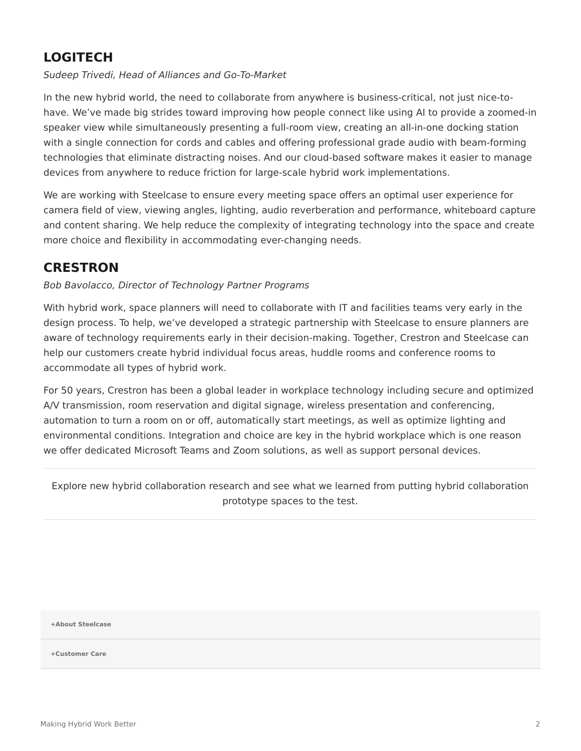# **LOGITECH**

#### *Sudeep Trivedi, Head of Alliances and Go-To-Market*

In the new hybrid world, the need to collaborate from anywhere is business-critical, not just nice-tohave. We've made big strides toward improving how people connect like using AI to provide a zoomed-in speaker view while simultaneously presenting a full-room view, creating an all-in-one docking station with a single connection for cords and cables and offering professional grade audio with beam-forming technologies that eliminate distracting noises. And our cloud-based software makes it easier to manage devices from anywhere to reduce friction for large-scale hybrid work implementations.

We are working with Steelcase to ensure every meeting space offers an optimal user experience for camera field of view, viewing angles, lighting, audio reverberation and performance, whiteboard capture and content sharing. We help reduce the complexity of integrating technology into the space and create more choice and flexibility in accommodating ever-changing needs.

## **CRESTRON**

*Bob Bavolacco, Director of Technology Partner Programs*

With hybrid work, space planners will need to collaborate with IT and facilities teams very early in the design process. To help, we've developed a strategic partnership with Steelcase to ensure planners are aware of technology requirements early in their decision-making. Together, Crestron and Steelcase can help our customers create hybrid individual focus areas, huddle rooms and conference rooms to accommodate all types of hybrid work.

For 50 years, Crestron has been a global leader in workplace technology including secure and optimized A/V transmission, room reservation and digital signage, wireless presentation and conferencing, automation to turn a room on or off, automatically start meetings, as well as optimize lighting and environmental conditions. Integration and choice are key in the hybrid workplace which is one reason we offer dedicated Microsoft Teams and Zoom solutions, as well as support personal devices.

Explore new hybrid collaboration research and see what we learned from putting hybrid collaboration prototype spaces to the test.

**[+About Steelcase](https://www.steelcase.com/discover/steelcase/our-company/)**

**[+Customer Care](#page-0-0)**